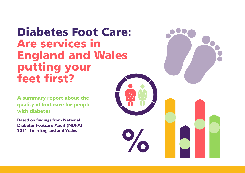# Diabetes Foot Care: Are services in England and Wales putting your feet first?

**A summary report about the quality of foot care for people with diabetes** 

**Based on findings from National Diabetes Footcare Audit (NDFA) 2014–16 in England and Wales** 

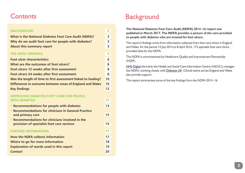### **Contents**

| <b>BACKGROUND</b><br>$\overline{\mathbf{2}}$<br><b>What is the National Diabetes Foot Care Audit (NDFA)?</b><br>3<br>3<br>Why do we audit foot care for people with diabetes?<br>$\overline{\mathbf{3}}$<br>About this summary report<br><b>THE NDFA FINDINGS</b><br>5<br><b>Foot ulcer characteristics</b><br>What are the outcomes of foot ulcers?<br>Foot ulcers 12 weeks after first assessment<br>8<br>Foot ulcers 24 weeks after first assessment<br>8<br>Was the length of time to first assessment linked to healing?<br>10<br>Differences in outcome between areas of England and Wales<br><b>Key findings</b><br><b>IMPROVING DIABETES FOOT CARE FOR PEOPLE</b><br><b>WITH DIABETES</b><br>13<br>13<br>• Recommendations for people with diabetes<br>• Recommendations for clinicians in General Practice<br>15<br>and primary care<br>• Recommendations for clinicians involved in the<br>15<br>provision of specialist foot care services<br><b>FURTHER INFORMATION</b><br>17<br><b>How the NDFA collects information</b><br>Where to go for more information<br><b>Explanation of words used in this report</b><br><b>Contact</b><br>20 |    |
|------------------------------------------------------------------------------------------------------------------------------------------------------------------------------------------------------------------------------------------------------------------------------------------------------------------------------------------------------------------------------------------------------------------------------------------------------------------------------------------------------------------------------------------------------------------------------------------------------------------------------------------------------------------------------------------------------------------------------------------------------------------------------------------------------------------------------------------------------------------------------------------------------------------------------------------------------------------------------------------------------------------------------------------------------------------------------------------------------------------------------------------------------|----|
|                                                                                                                                                                                                                                                                                                                                                                                                                                                                                                                                                                                                                                                                                                                                                                                                                                                                                                                                                                                                                                                                                                                                                      |    |
|                                                                                                                                                                                                                                                                                                                                                                                                                                                                                                                                                                                                                                                                                                                                                                                                                                                                                                                                                                                                                                                                                                                                                      |    |
|                                                                                                                                                                                                                                                                                                                                                                                                                                                                                                                                                                                                                                                                                                                                                                                                                                                                                                                                                                                                                                                                                                                                                      |    |
|                                                                                                                                                                                                                                                                                                                                                                                                                                                                                                                                                                                                                                                                                                                                                                                                                                                                                                                                                                                                                                                                                                                                                      |    |
|                                                                                                                                                                                                                                                                                                                                                                                                                                                                                                                                                                                                                                                                                                                                                                                                                                                                                                                                                                                                                                                                                                                                                      |    |
|                                                                                                                                                                                                                                                                                                                                                                                                                                                                                                                                                                                                                                                                                                                                                                                                                                                                                                                                                                                                                                                                                                                                                      | 6  |
|                                                                                                                                                                                                                                                                                                                                                                                                                                                                                                                                                                                                                                                                                                                                                                                                                                                                                                                                                                                                                                                                                                                                                      | 8  |
|                                                                                                                                                                                                                                                                                                                                                                                                                                                                                                                                                                                                                                                                                                                                                                                                                                                                                                                                                                                                                                                                                                                                                      |    |
|                                                                                                                                                                                                                                                                                                                                                                                                                                                                                                                                                                                                                                                                                                                                                                                                                                                                                                                                                                                                                                                                                                                                                      |    |
|                                                                                                                                                                                                                                                                                                                                                                                                                                                                                                                                                                                                                                                                                                                                                                                                                                                                                                                                                                                                                                                                                                                                                      |    |
|                                                                                                                                                                                                                                                                                                                                                                                                                                                                                                                                                                                                                                                                                                                                                                                                                                                                                                                                                                                                                                                                                                                                                      | 10 |
|                                                                                                                                                                                                                                                                                                                                                                                                                                                                                                                                                                                                                                                                                                                                                                                                                                                                                                                                                                                                                                                                                                                                                      | 12 |
|                                                                                                                                                                                                                                                                                                                                                                                                                                                                                                                                                                                                                                                                                                                                                                                                                                                                                                                                                                                                                                                                                                                                                      |    |
|                                                                                                                                                                                                                                                                                                                                                                                                                                                                                                                                                                                                                                                                                                                                                                                                                                                                                                                                                                                                                                                                                                                                                      |    |
|                                                                                                                                                                                                                                                                                                                                                                                                                                                                                                                                                                                                                                                                                                                                                                                                                                                                                                                                                                                                                                                                                                                                                      |    |
|                                                                                                                                                                                                                                                                                                                                                                                                                                                                                                                                                                                                                                                                                                                                                                                                                                                                                                                                                                                                                                                                                                                                                      |    |
|                                                                                                                                                                                                                                                                                                                                                                                                                                                                                                                                                                                                                                                                                                                                                                                                                                                                                                                                                                                                                                                                                                                                                      |    |
|                                                                                                                                                                                                                                                                                                                                                                                                                                                                                                                                                                                                                                                                                                                                                                                                                                                                                                                                                                                                                                                                                                                                                      |    |
|                                                                                                                                                                                                                                                                                                                                                                                                                                                                                                                                                                                                                                                                                                                                                                                                                                                                                                                                                                                                                                                                                                                                                      |    |
|                                                                                                                                                                                                                                                                                                                                                                                                                                                                                                                                                                                                                                                                                                                                                                                                                                                                                                                                                                                                                                                                                                                                                      |    |
|                                                                                                                                                                                                                                                                                                                                                                                                                                                                                                                                                                                                                                                                                                                                                                                                                                                                                                                                                                                                                                                                                                                                                      | 17 |
|                                                                                                                                                                                                                                                                                                                                                                                                                                                                                                                                                                                                                                                                                                                                                                                                                                                                                                                                                                                                                                                                                                                                                      | 18 |
|                                                                                                                                                                                                                                                                                                                                                                                                                                                                                                                                                                                                                                                                                                                                                                                                                                                                                                                                                                                                                                                                                                                                                      | 19 |
|                                                                                                                                                                                                                                                                                                                                                                                                                                                                                                                                                                                                                                                                                                                                                                                                                                                                                                                                                                                                                                                                                                                                                      |    |

# **Background**

#### **The [National Diabetes Foot Care Audit \(NDFA\) 2014–16 report](http://content.digital.nhs.uk/searchcatalogue?productid=24603&q=national+diabetes+foot+care+audit&sort=Relevance&size=10&page=1#top) was published in March 2017. The NDFA provides a picture of the care provided to people with diabetes who are treated for foot ulcers.**

The report's findings come from information collected from foot care clinics in England and Wales, for the period 14 July 2014 to 8 April 2016. 173 specialist foot care clinics provided data for the NDFA.

The NDFA is commissioned by [Healthcare Quality and Improvement Partnership](http://www.hqip.org.uk)  [\(HQIP\).](http://www.hqip.org.uk) 

[NHS Digital](http://content.digital.nhs.uk/footcare) (formerly the Health and Social Care Information Centre (HSCIC)) manages the NDFA, working closely with [Diabetes UK.](http://www.diabetes.org.uk/) Clinical teams across England and Wales also provide support.

This report summarises some of the key findings from the NDFA 2014–16.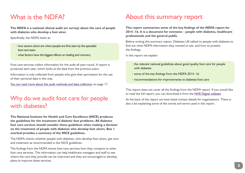# <span id="page-2-0"></span>What is the NDFA?

**The NDFA is a national clinical audit (or survey) about the care of people with diabetes who develop a foot ulcer.** 

Specifically, the NDFA looks at:

- how severe ulcers are when people are first seen by the specialist foot care team
- what factors have the biggest effects on healing and recovery

Foot care services collect information for the audit all year-round. A report is produced each year, which looks at the data from the previous years.

Information is only collected from people who give their permission for the use of their personal data in this way.

[You can read more about the audit methods and data collection](#page-16-0) on page 17.

## Why do we audit foot care for people with diabetes?

**The National Institute for Health and Care Excellence (NICE) produces the guidelines for the treatment of diabetic foot problems. All diabetes foot care services should consider these guidelines when making a decision on the treatment of people with diabetes who develop foot ulcers. Box 1 overleaf provides a summary of the NICE guidelines.**

The NDFA checks whether people with diabetes, who develop foot ulcers, get care and treatment as recommended in the NICE guidelines.

The findings from the NDFA shows foot care services how they compare to other foot care services. This information can help healthcare managers and staff to see where the care they provide can be improved and they are encouraged to develop plans to improve these services.

# About this summary report

**This report summarises some of the key findings of the NDFA report for 2014–16. It is a document for everyone – people with diabetes, healthcare professionals and the general public.** 

Before writing this summary report, Diabetes UK talked to people with diabetes to find out what NDFA information they wanted to see, and how to present the findings.

In this report we explain:

- the relevant national guidelines about good quality foot care for people with diabetes
- some of the key findings from the NDFA 2014–16
- recommendations for improvements to diabetes foot care

This report does not cover all the findings from the NDFA report. If you would like to read the full report, you can download it from the [NHS Digital website.](http://content.digital.nhs.uk/searchcatalogue?productid=24603&q=national+diabetes+foot+care+audit&sort=Relevance&size=10&page=1#top)

At the back of the report we have listed contact details for organisations. There is also a list explaining some of the words and terms used in this report.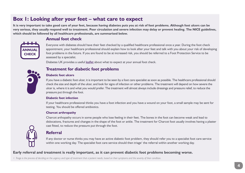### **Box 1: Looking after your feet – what care to expect**

**It is very important to take good care of your feet, because having diabetes puts you at risk of foot problems. Although foot ulcers can be very serious, they usually respond well to treatment. Poor circulation and severe infection may delay or prevent healing. The NICE guidelines, which should be followed by all healthcare professionals, are summarised below.**



### **Annual foot check**

Everyone with diabetes should have their feet checked by a qualified healthcare professional once a year. During the foot check appointment, your healthcare professional should explain how to look after your feet and talk with you about your risk of developing foot problems in the future. If you are found to be at increased risk, you should be referred to a Foot Protection Service to be assessed by a specialist.

Diabetes UK provides a useful [leaflet](https://www.diabetes.org.uk/Documents/Guide%20to%20diabetes/monitoring/What-to-expect-at-annual-foot-check.pdf) about what to expect at your annual foot check.



### **Treatment for diabetic foot problems**

#### **Diabetic foot ulcers**

If you have a diabetic foot ulcer, it is important to be seen by a foot care specialist as soon as possible. The healthcare professional should check the size and depth of the ulcer, and look for signs of infection or other problems. The treatment will depend on how severe the ulcer is, where it is and what you would prefer. The treatment will almost always include dressings and pressure relief, to reduce the pressure put through the foot.

#### **Diabetic foot infection**

If your healthcare professional thinks you have a foot infection and you have a wound on your foot, a small sample may be sent for testing. You should be offered antibiotics.

#### **Charcot arthropathy**

Charcot arthopathy occurs in some people who lose feeling in their feet. The bones in the foot can become weak and lead to dislocations, fractures and changes in the shape of the foot or ankle. The treatment for Charcot foot usually involves having a plaster cast fitted, to reduce the pressure put through the foot.

### **Referral**

If any doctor or nurse thinks you may have an active diabetic foot problem, they should refer you to a specialist foot care service within one working day. The specialist foot care service should then triage<sup>1</sup> the referral within another working day.

#### **Early referral and treatment is really important, as it can prevent diabetic foot problems becoming worse.**

*1. Triage is the process of deciding on the urgency and type of treatment that a patient needs, based on their symptoms and the severity of their condition.*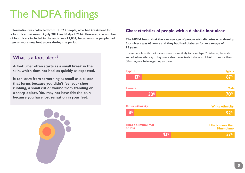# <span id="page-4-0"></span>The NDFA findings

**Information was collected from 11,073 people, who had treatment for a foot ulcer between 14 July 2014 and 8 April 2016. However, the number of foot ulcers included in the audit was 13,034, because some people had two or more new foot ulcers during the period.** 

### What is a foot ulcer?

**A foot ulcer often starts as a small break in the skin, which does not heal as quickly as expected.**

**It can start from something as small as a blister that forms because you didn't feel your shoe rubbing, a small cut or wound from standing on a sharp object. You may not have felt the pain because you have lost sensation in your feet.**



### **Characteristics of people with a diabetic foot ulcer**

**The NDFA found that the average age of people with diabetes who develop foot ulcers was 67 years and they had had diabetes for an average of 15 years.**

Those people with foot ulcers were more likely to have Type 2 diabetes, be male and of white ethnicity. They were also more likely to have an HbA1c of more than 58mmol/mol before getting an ulcer.

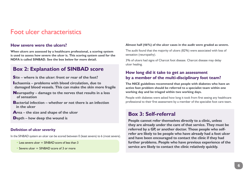### <span id="page-5-0"></span>Foot ulcer characteristics

#### **How severe were the ulcers?**

**When ulcers are assessed by a healthcare professional, a scoring system is used to assess how severe the ulcer is. This scoring system used for the NDFA is called SINBAD. See the box below for more detail.**

### **Box 2: Explanation of SINBAD score**

- **Site where is the ulcer: front or rear of the foot?**
- **Ischaemia problems with blood circulation, due to damaged blood vessels. This can make the skin more fragile**
- **Neuropathy damage to the nerves that results in a loss of sensation**
- **Bacterial infection whether or not there is an infection in the ulcer**
- **Area the size and shape of the ulcer**
- **Depth how deep the wound is**

#### **Definition of ulcer severity**

In the SINBAD system an ulcer can be scored between 0 (least severe) to 6 (most severe).

- $\cdot$  Less severe ulcer  $=$  SINBAD score of less than 3
- Severe ulcer  $=$  SINBAD score of 3 or more

#### **Almost half (46%) of the ulcer cases in the audit were graded as severe.**

The audit found that the majority of ulcers (82%) were associated with loss of sensation (neuropathy).

3% of ulcers had signs of Charcot foot disease. Charcot disease may delay ulcer healing.

### **How long did it take to get an assessment by a member of the multi-disciplinary foot team?**

**The NICE guidelines recommend that people with diabetes who have an active foot problem should be referred to a specialist team within one working day and be triaged within two working days.** 

People with diabetes were asked how long it took from first seeing any healthcare professional to their first assessment by a member of the specialist foot care team.

### **Box 3: Self-referral**

**People cannot refer themselves directly to a clinic, unless they are already under the care of that service. They must be referred by a GP, or another doctor. Those people who selfrefer are likely to be people who have already had a foot ulcer and have been encouraged to contact the clinic if they had further problems. People who have previous experience of the service are likely to contact the clinic relatively quickly.**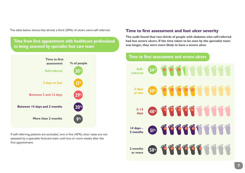The table below shows that almost a third (30%) of ulcers were self-referred.

### **Time from first appointment with healthcare professional to being assessed by specialist foot care team**



If self-referring patients are excluded, two in five (40%) ulcer cases are not assessed by a specialist footcare team until two or more weeks after the first appointment.

#### **Time to first assessment and foot ulcer severity**

**The audit found that two-thirds of people with diabetes who self-referred had less severe ulcers. If the time taken to be seen by the specialist team was longer, they were more likely to have a severe ulcer.** 



#### 7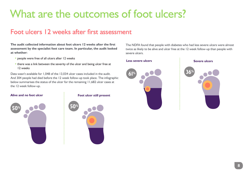# <span id="page-7-0"></span>What are the outcomes of foot ulcers?

## Foot ulcers 12 weeks after first assessment

**The audit collected information about foot ulcers 12 weeks after the first assessment by the specialist foot care team. In particular, the audit looked at whether:**

- people were free of all ulcers after 12 weeks
- there was a link between the severity of the ulcer and being ulcer free at 12 weeks

Data wasn't available for 1,048 of the 13,034 ulcer cases included in the audit. And 304 people had died before the 12 week follow-up took place. The infographic below summarises the status of the ulcer for the remaining 11,682 ulcer cases at the 12 week follow-up.



The NDFA found that people with diabetes who had less severe ulcers were almost twice as likely to be alive and ulcer free at the 12 week follow-up than people with severe ulcers.

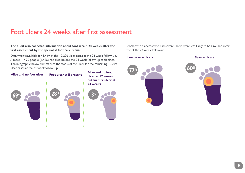## Foot ulcers 24 weeks after first assessment

#### **The audit also collected information about foot ulcers 24 weeks after the first assessment by the specialist foot care team.**

Data wasn't available for 1,469 of the 12,226 ulcer cases at the 24 week follow-up. Almost 1 in 20 people (4.4%) had died before the 24 week follow-up took place. The infographic below summarises the status of the ulcer for the remaining 10,279 ulcer cases at the 24 week follow-up.



**Alive and no foot ulcer at 12 weeks, but further ulcer at 24 weeks**



People with diabetes who had severe ulcers were less likely to be alive and ulcer free at the 24 week follow-up.

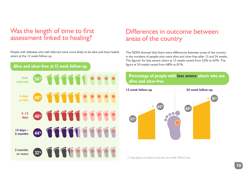## <span id="page-9-0"></span>Was the length of time to first assessment linked to healing?

People with diabetes who self-referred were more likely to be alive and have healed ulcers at the 12 week follow-up.

### **Alive and ulcer-free at 12 week follow-up**



## Differences in outcome between areas of the country

The NDFA showed that there were differences between areas of the country in the numbers of people who were alive and ulcer-free after 12 and 24 weeks. The figures $^2$  for less severe ulcers at 12 weeks varied from 52% to 65%. The figure at 24 weeks varied from 68% to 81%.

### **Percentage of people with less severe ulcers who are alive and ulcer-free**



*2. These figures are based on data from the middle 50% of trusts*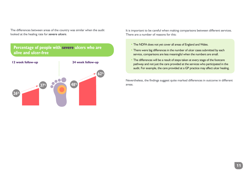The differences between areas of the country was similar when the audit looked at the healing rate for *severe ulcers*.

### **Percentage of people with severe ulcers who are alive and ulcer-free**



It is important to be careful when making comparisons between different services. There are a number of reasons for this:

- The NDFA does not yet cover all areas of England and Wales.
- There were big differences in the number of ulcer cases submitted by each service, comparisons are less meaningful when the numbers are small.
- The differences will be a result of steps taken at every stage of the footcare pathway and not just the care provided at the services who participated in the audit. For example, the care provided at a GP practice may affect ulcer healing.

Nevertheless, the findings suggest quite marked differences in outcome in different areas.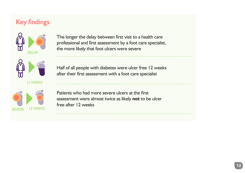# <span id="page-11-0"></span>Key findings



The longer the delay between first visit to a health care professional and first assessment by a foot care specialist, the more likely that foot ulcers were severe



12 WEEKS



Half of all people with diabetes were ulcer free 12 weeks after their first assessment with a foot care specialist

Patients who had more severe ulcers at the first assessment were almost twice as likely **not** to be ulcer free after 12 weeks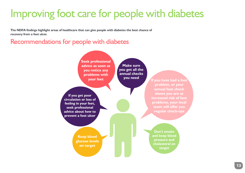# <span id="page-12-0"></span>Improving foot care for people with diabetes

**The NDFA findings highlight areas of healthcare that can give people with diabetes the best chance of recovery from a foot ulcer.** 

Recommendations for people with diabetes

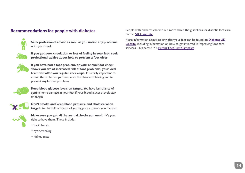### **Recommendations for people with diabetes**



**Seek professional advice as soon as you notice any problems with your feet**



**If you get poor circulation or loss of feeling in your feet, seek professional advice about how to prevent a foot ulcer**



**If you have had a foot problem, or your annual foot check shows you are at increased risk of foot problems, your local team will offer you regular check-ups.** It is really important to attend these check-ups to improve the chance of healing and to prevent any further problems



**Keep blood glucose levels on target.** You have less chance of getting nerve damage in your feet if your blood glucose levels stay on target



**Don't smoke and keep blood pressure and cholesterol on target.** You have less chance of getting poor circulation in the feet

**Make sure you get all the annual checks you need - it's your** right to have them. These include:

- foot checks
- eye screening
- kidney tests

People with diabetes can find out more about the guidelines for diabetic foot care on the [NICE website](https://www.nice.org.uk/guidance/ng19).

More information about looking after your feet can be found on [Diabetes UK](https://www.diabetes.org.uk/Guide-to-diabetes/Complications/Feet/)  [website](https://www.diabetes.org.uk/Guide-to-diabetes/Complications/Feet/), including information on how to get involved in improving foot care services [– Diabetes UK's Putting Feet First Campaign](https://www.diabetes.org.uk/Get_involved/Campaigning/Our-campaigns/Putting-feet-first/).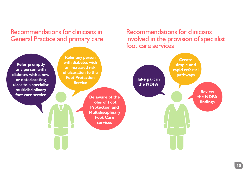<span id="page-14-0"></span>Recommendations for clinicians in General Practice and primary care

**Refer promptly any person with diabetes with a new or deteriorating ulcer to a specialist multidisciplinary foot care service Be aware of the** 

**Refer any person with diabetes with an increased risk of ulceration to the Foot Protection Service**

> **roles of Foot Protection and Multidisciplinary Foot Care services**

Recommendations for clinicians involved in the provision of specialist foot care services

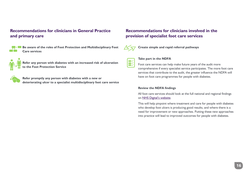### **Recommendations for clinicians in General Practice and primary care**



**Be aware of the roles of Foot Protection and Multidisciplinary Foot Care services** 



**Refer any person with diabetes with an increased risk of ulceration to the Foot Protection Service** 



**Refer promptly any person with diabetes with a new or deteriorating ulcer to a specialist multidisciplinary foot care service**

### **Recommendations for clinicians involved in the provision of specialist foot care services**



**Create simple and rapid referral pathways**



#### **Take part in the NDFA**

Foot care services can help make future years of the audit more comprehensive if every specialist service participates. The more foot care services that contribute to the audit, the greater influence the NDFA will have on foot care programmes for people with diabetes.

#### **Review the NDFA findings**

All foot care services should look at the full national and regional findings on [NHS Digital's website.](http://content.digital.nhs.uk/searchcatalogue?productid=24603&q=national+diabetes+foot+care+audit&sort=Relevance&size=10&page=1#top)

This will help pinpoint where treatment and care for people with diabetes who develop foot ulcers is producing good results, and where there is a need for improvement or new approaches. Putting these new approaches into practice will lead to improved outcomes for people with diabetes.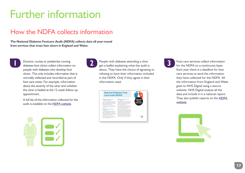# <span id="page-16-0"></span>Further information

# How the NDFA collects information

**The National Diabetes Footcare Audit (NDFA) collects data all year-round from services that treat foot ulcers in England and Wales.**



Doctors, nurses or podiatrists running diabetes foot clinics collect information on people with diabetes who develop foot ulcers. This only includes information that is normally collected and recorded as part of foot care notes. For example, information about the severity of the ulcer and whether the ulcer is healed at the 12 week follow-up appointment.

A full list of the information collected for the audit is available on the [NDFA website](http://content.digital.nhs.uk/footcare).





**1 2 2 2 2 2 3 3** People with diabetes attending a clinic diabetes foot clinics collect information on about. They have the choice of agreeing or refusing to have their information included in the NDFA. Only if they agree is their information used.



Foot care services collect information for the NDFA on a continuous basis. Each year there is a deadline for foot care services to send the information they have collected for the NDFA. All the information from England and Wales goes to NHS Digital using a secure website. NHS Digital analyse all the data and include it in a national report. They also publish reports on the [NDFA](http://content.digital.nhs.uk/searchcatalogue?productid=24603&q=national+diabetes+foot+care+audit&sort=Relevance&size=10&page=1#top)  [website.](http://content.digital.nhs.uk/searchcatalogue?productid=24603&q=national+diabetes+foot+care+audit&sort=Relevance&size=10&page=1#top)

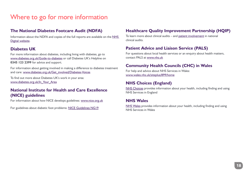# <span id="page-17-0"></span>Where to go for more information

### **The National Diabetes Footcare Audit (NDFA)**

Information about the NDFA and copies of the full reports are available on the [NHS](http://content.digital.nhs.uk/footcare)  [Digital website.](http://content.digital.nhs.uk/footcare)

### **Diabetes UK**

For more information about diabetes, including living with diabetes, go to [www.diabetes.org.uk/Guide-to-diabetes](http://www.diabetes.org.uk/Guide-to-diabetes) or call Diabetes UK's Helpline on **0345 123 2399** for advice and support.

For information about getting involved in making a difference to diabetes treatment and care: [www.diabetes.org.uk/Get\\_involved/Diabetes-Voices](https://www.diabetes.org.uk/Get_involved/Campaigning/)

To find out more about Diabetes UK's work in your area: [www.diabetes.org.uk/In\\_Your\\_Area](http://www.diabetes.org.uk/In_Your_Area)

### **National Institute for Health and Care Excellence (NICE) guidelines**

For information about how NICE develops guidelines: www.nice.org.uk

For guidelines about diabetic foot problems: [NICE Guidelines NG19](https://www.nice.org.uk/guidance/ng19)

### **Healthcare Quality Improvement Partnership (HQIP)**

To learn more about clinical audits – and [patient involvement](http://www.hqip.org.uk/patient-and-public-involvement/) in national clinical audits.

### **Patient Advice and Liaison Service (PALS)**

For questions about local health services or an enquiry about health matters, contact PALS at [www.nhs.uk](http://www.nhs.uk/Service-Search/Patient-advice-and-liaison-services-(PALS)/LocationSearch/363)

### **Community Health Councils (CHC) in Wales**

For help and advice about NHS Services in Wales: [www.wales.nhs.uk/siteplus/899/home](http://www.nhsdirect.wales.nhs.uk/localservices/communityhealthcouncils/)

### **NHS Choices (England)**

[NHS Choices](http://www.nhs.uk/Pages/HomePage.aspx) provides information about your health, including finding and using NHS Services in England

### **NHS Wales**

[NHS Wales](http://www.wales.nhs.uk/) provides information about your health, including finding and using NHS Services in Wales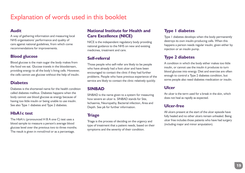# <span id="page-18-0"></span>Explanation of words used in this booklet

### **Audit**

A way of gathering information and measuring local NHS organisations' performance and quality of care against national guidelines, from which come recommendations for improvements.

### **Blood glucose**

Blood glucose is the main sugar the body makes from the food we eat. Glucose travels in the bloodstream, providing energy to all the body's living cells. However, the cells cannot use glucose without the help of insulin.

### **Diabetes**

Diabetes is the shortened name for the health condition called diabetes mellitus. Diabetes happens when the body cannot use blood glucose as energy because of having too little insulin or being unable to use insulin. See also Type 1 diabetes and Type 2 diabetes.

### **HbA1c test**

The HbA1c (pronounced H B A one C) test uses a blood sample to measure a person's average blood glucose level over the previous two to three months. The result is given in mmol/mol or as a percentage.

### **National Institute for Health and Care Excellence (NICE)**

NICE is the independent regulatory body providing national guidance to the NHS on new and existing medicines, treatment and care.

### **Self-referral**

Those people who self-refer are likely to be people who have already had a foot ulcer and have been encouraged to contact the clinic if they had further problems. People who have previous experience of the service are likely to contact the clinic relatively quickly.

### **SINBAD**

SINBAD is the name given to a system for measuring how severe an ulcer is. SINBAD stands for Site, Ischaemia, Neuropathy, Bacterial infection, Area and Depth. See p6 for further information.

### **Triage**

Triage is the process of deciding on the urgency and type of treatment that a patient needs, based on their symptoms and the severity of their condition.

### **Type 1 diabetes**

Type 1 diabetes develops when the body permanently destroys its own insulin-producing cells. When this happens a person needs regular insulin, given either by injection or an insulin pump.

### **Type 2 diabetes**

A condition in which the body either makes too little insulin, or cannot use the insulin it produces to turn blood glucose into energy. Diet and exercise are often enough to control a Type 2 diabetes condition, but some people also need diabetes medication or insulin.

### **Ulcer**

An ulcer is the term used for a break in the skin, which does not heal as rapidly as expected.

### **Ulcer-free**

All ulcers present at the start of the ulcer episode have fully healed and no other ulcers remain unhealed. Being ulcer free includes those patients who have had surgery (including major and minor amputation).